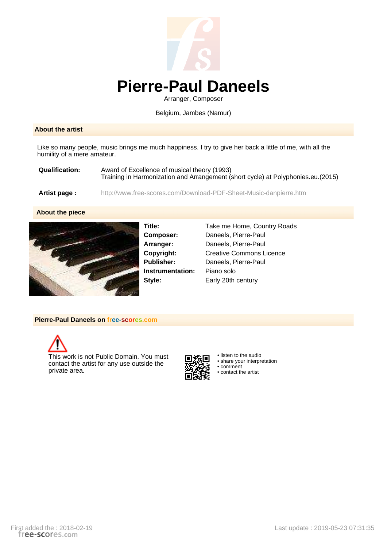

Arranger, Composer

Belgium, Jambes (Namur)

## **About the artist**

Like so many people, music brings me much happiness. I try to give her back a little of me, with all the humility of a mere amateur.

**Qualification:** Award of Excellence of musical theory (1993) Training in Harmonization and Arrangement (short cycle) at Polyphonies.eu.(2015)

**Artist page :** http://www.free-scores.com/Download-PDF-Sheet-Music-danpierre.htm

## **About the piece**



**Instrumentation:** Piano solo

Title: Take me Home, Country Roads **Composer:** Daneels, Pierre-Paul **Arranger:** Daneels, Pierre-Paul **Copyright:** Creative Commons Licence **Publisher:** Daneels, Pierre-Paul **Style:** Early 20th century

**Pierre-Paul Daneels on free-scores.com**





• listen to the audio • share your interpretation • comment • contact the artist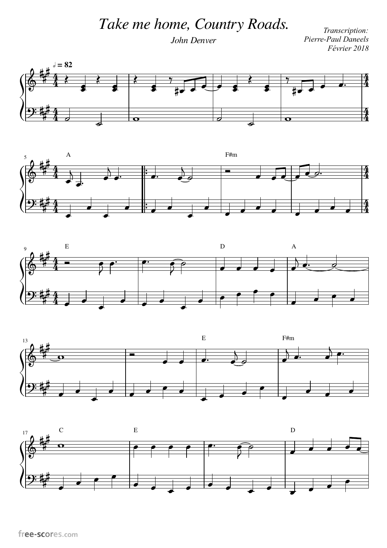## *Take me home, Country Roads.*

*John Denver*

*Transcription: Pierre-Paul Daneels Février 2018*









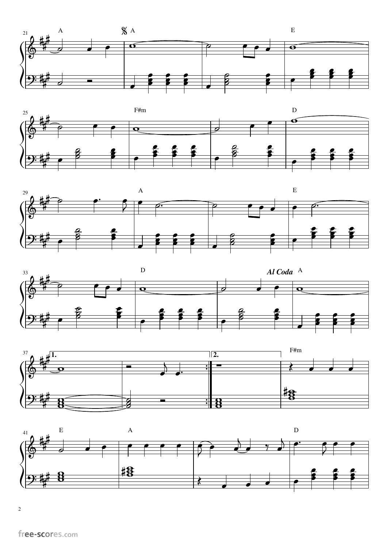











 $\overline{c}$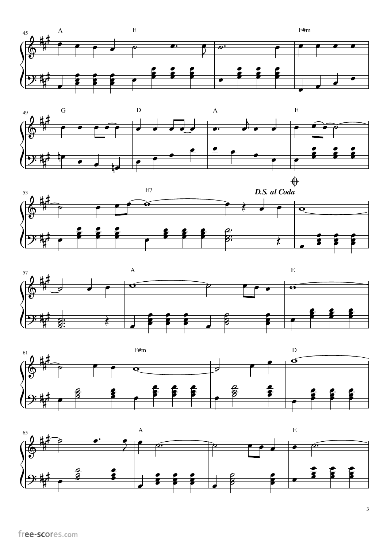